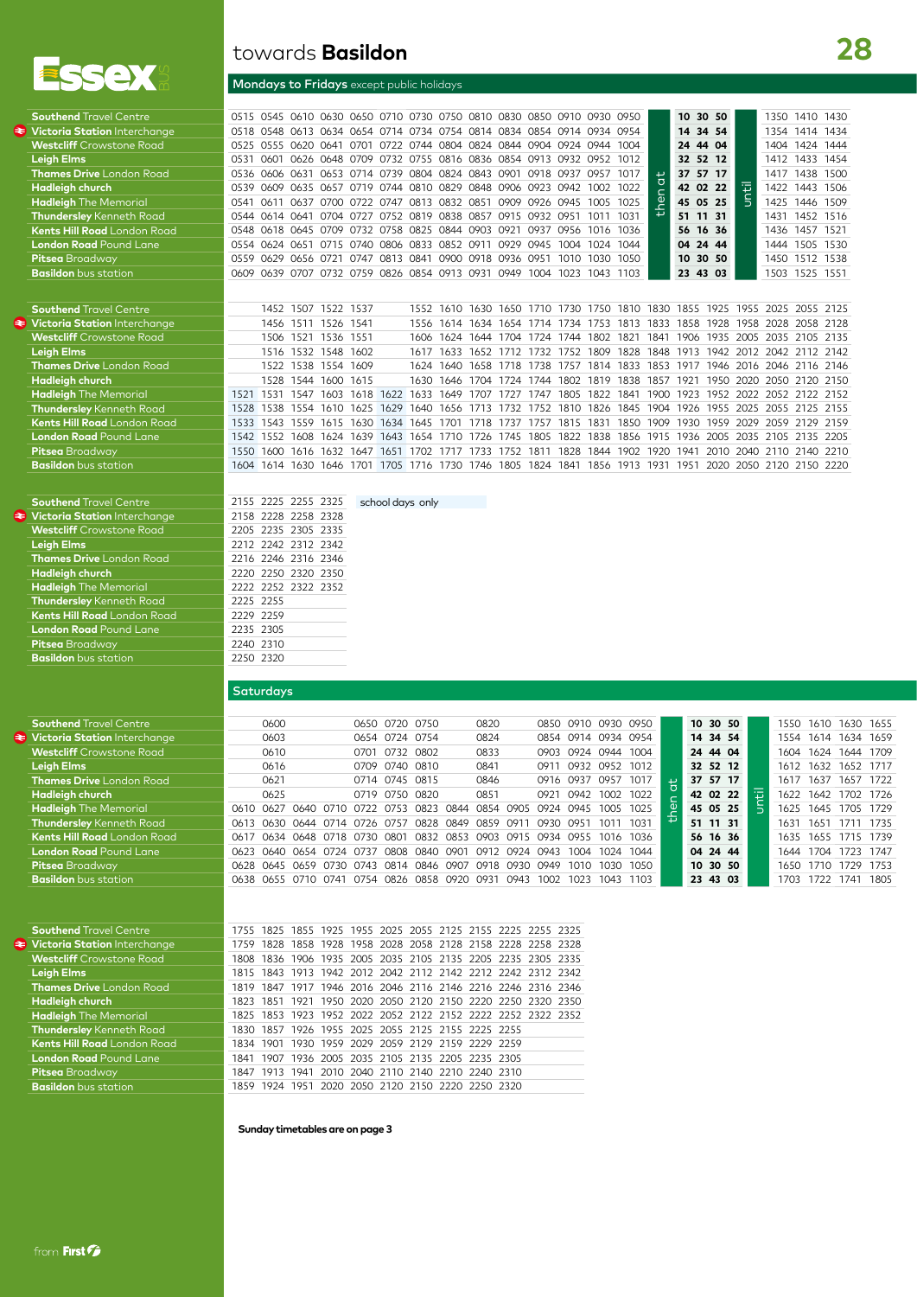

æ

**Southend** Travel Centre  $\blacktriangleright$  **Victoria Station** Interchang

|                               | Mondays to Fridays except public holidays                             |  |  |  |  |  |                                                                       |  |  |
|-------------------------------|-----------------------------------------------------------------------|--|--|--|--|--|-----------------------------------------------------------------------|--|--|
| <b>Southend</b> Travel Centre | 0515 0545 0610 0630 0650 0710 0730 0750 0810 0830 0850 0910 0930 0950 |  |  |  |  |  |                                                                       |  |  |
| Victoria Ctation Interebange  |                                                                       |  |  |  |  |  | 0519 0549 0612 0624 0654 0714 0724 0754 0914 0924 0954 0014 0024 0954 |  |  |

towards **Basildon**

| <b>Southend Travel Centre</b>       |      |             |                     |           | 0545 0610 0630 0650 0710 0730 0750 0810 0830 0850 0910 0930                     |      |      |                                    |                     |                |           |      |                | 0950                                         |                | 10       | 30 50     |           | 1350 | 1410 1430                                                                  |      |
|-------------------------------------|------|-------------|---------------------|-----------|---------------------------------------------------------------------------------|------|------|------------------------------------|---------------------|----------------|-----------|------|----------------|----------------------------------------------|----------------|----------|-----------|-----------|------|----------------------------------------------------------------------------|------|
| <b>Victoria Station</b> Interchanae | 0518 |             |                     |           | 0548 0613 0634 0654 0714 0734 0754 0814 0834 0854 0914 0934 0954                |      |      |                                    |                     |                |           |      |                |                                              |                | 14       | 34 54     |           | 1354 | 1414 1434                                                                  |      |
| <b>Westcliff</b> Crowstone Road     | 0525 |             |                     |           | 0555 0620 0641 0701 0722 0744 0804 0824 0844 0904 0924 0944 1004                |      |      |                                    |                     |                |           |      |                |                                              |                | 24       | 44 04     |           | 1404 | 1424 1444                                                                  |      |
| <b>Leigh Elms</b>                   | 0531 | <b>0601</b> |                     |           | 0626 0648 0709 0732 0755 0816 0836 0854 0913 0932 0952 1012                     |      |      |                                    |                     |                |           |      |                |                                              |                | 32       | 52 12     |           | 1412 | 1433                                                                       | 1454 |
| <b>Thames Drive</b> London Road     | 0536 |             |                     |           | 0606 0631 0653 0714 0739 0804 0824 0843 0901 0918 0937                          |      |      |                                    |                     |                |           |      | 0957           | 1017                                         | $\overline{a}$ | 37       | 57 17     |           | 1417 | 1438                                                                       | 1500 |
| <b>Hadleigh church</b>              | 0539 | 0609        |                     |           | 0635 0657 0719 0744 0810 0829 0848 0906 0923 0942 1002 1022                     |      |      |                                    |                     |                |           |      |                |                                              |                |          | 42 02 22  | until     | 1422 | 1443 1506                                                                  |      |
| <b>Hadleigh</b> The Memorial        | 0541 | 0611        |                     |           | 0637 0700 0722 0747 0813 0832 0851 0909 0926 0945                               |      |      |                                    |                     |                |           |      | 1005 1025      |                                              | $\mathbf{Q}$   | 45 05 25 |           |           | 1425 | 1446 1509                                                                  |      |
| Thundersley Kenneth Road            |      |             |                     |           | 0544 0614 0641 0704 0727 0752 0819 0838 0857 0915 0932 0951                     |      |      |                                    |                     |                |           |      | 1011 1031      |                                              |                | 51 11 31 |           |           |      | 1431 1452 1516                                                             |      |
| <b>Kents Hill Road</b> London Road  | 0548 |             |                     |           | 0618 0645 0709 0732 0758 0825 0844 0903 0921 0937                               |      |      |                                    |                     |                |           |      | 0956 1016 1036 |                                              |                | 56       | 16 36     |           |      | 1436 1457 1521                                                             |      |
| <b>London Road</b> Pound Lane       | 0554 |             |                     |           | 0624 0651 0715 0740 0806 0833 0852 0911 0929 0945                               |      |      |                                    |                     |                |           | 1004 | 1024 1044      |                                              |                | 04       | 24 44     |           | 1444 | 1505 1530                                                                  |      |
| <b>Pitsea</b> Broadway              | 0559 | 0629        |                     |           | 0656 0721 0747 0813 0841 0900 0918 0936 0951                                    |      |      |                                    |                     |                |           | 1010 | 1030 1050      |                                              |                | 10       | 30 50     |           | 1450 | 1512 1538                                                                  |      |
| <b>Basildon</b> bus station         | 0609 |             |                     |           | 0639 0707 0732 0759 0826 0854 0913 0931 0949 1004 1023                          |      |      |                                    |                     |                |           |      | 1043 1103      |                                              |                | 23       | 43 03     |           | 1503 | 1525 1551                                                                  |      |
|                                     |      |             |                     |           |                                                                                 |      |      |                                    |                     |                |           |      |                |                                              |                |          |           |           |      |                                                                            |      |
| <b>Southend Travel Centre</b>       |      |             | 1452 1507 1522 1537 |           |                                                                                 |      |      |                                    |                     |                |           |      |                |                                              |                |          |           |           |      | 1552 1610 1630 1650 1710 1730 1750 1810 1830 1855 1925 1955 2025 2055 2125 |      |
| Victoria Station Interchange        |      |             | 1456 1511 1526 1541 |           |                                                                                 |      |      |                                    |                     |                |           |      |                | 1556 1614 1634 1654 1714 1734 1753 1813 1833 |                |          |           |           |      | 1858 1928 1958 2028 2058 2128                                              |      |
| <b>Westcliff</b> Crowstone Road     |      |             | 1506 1521           | 1536 1551 |                                                                                 |      | 1606 | 1624 1644 1704 1724 1744           |                     |                |           |      | 1802           | 1821                                         | 1841           | 1906     |           |           |      | 1935 2005 2035 2105 2135                                                   |      |
| <b>Leiah Elms</b>                   |      |             | 1516 1532 1548      |           | 1602                                                                            |      | 1617 | 1633                               | 1652 1712 1732 1752 |                |           |      | 1809           |                                              |                |          |           |           |      | 1828 1848 1913 1942 2012 2042 2112 2142                                    |      |
| <b>Thames Drive</b> London Road     |      | 1522        | 1538                | 1554      | 1609                                                                            |      | 1624 | 1640                               | 1658                | 1718 1738 1757 |           |      | 1814 1833      |                                              | 1853           | 1917     |           |           |      | 1946 2016 2046 2116 2146                                                   |      |
| Hadleigh church                     |      | 1528        |                     | 1544 1600 | 1615                                                                            |      | 1630 | 1646 1704                          |                     | 1724 1744 1802 |           |      | 1819           | 1838                                         | 1857           | 1921     |           | 1950 2020 |      | 2050 2120 2150                                                             |      |
| <b>Hadleigh</b> The Memorial        | 1521 | 1531        | 1547                | 1603      | 1618                                                                            | 1622 | 1633 | 1649                               | 1707                | 1727           | 1747      | 1805 | 1822           | 1841                                         | 1900           | 1923     |           | 1952 2022 |      | 2052 2122 2152                                                             |      |
| <b>Thundersley</b> Kenneth Road     | 1528 | 1538        |                     |           | 1554 1610 1625 1629 1640 1656 1713 1732 1752 1810 1826 1845 1904 1926 1955 2025 |      |      |                                    |                     |                |           |      |                |                                              |                |          |           |           |      | 2055 2125 2155                                                             |      |
| Kents Hill Road London Road         | 1533 | 1543        | 1559                |           | 1615 1630 1634 1645 1701                                                        |      |      |                                    | 1718 1737 1757 1815 |                |           |      | 1831           | 1850 1909                                    |                | 1930     | 1959 2029 |           |      | 2059 2129 2159                                                             |      |
| <b>London Road</b> Pound Lane       | 1542 | 1552        | 1608                | 1624 1639 |                                                                                 |      |      | 1643 1654 1710 1726 1745 1805 1822 |                     |                |           |      | 1838           | 1856 1915                                    |                | 1936     |           |           |      | 2005 2035 2105 2135 2205                                                   |      |
| Pitsea Broadway                     | 1550 |             | 1600 1616 1632 1647 |           |                                                                                 |      |      | 1651 1702 1717 1733 1752 1811      |                     |                |           | 1828 |                | 1844 1902 1920                               |                | 1941     |           |           |      | 2010 2040 2110 2140                                                        | 2210 |
| <b>Basildon</b> bus station         | 1604 | 1614        | 1630                | 1646      | 1701                                                                            |      |      | 1705 1716 1730 1746 1805           |                     |                | 1824 1841 |      |                | 1856 1913 1931                               |                | 1951     | 2020      | 2050      |      | 2120 2150                                                                  | 2220 |
|                                     |      |             |                     |           |                                                                                 |      |      |                                    |                     |                |           |      |                |                                              |                |          |           |           |      |                                                                            |      |

| <b>Southend Travel Centre</b>      | 2155 2225 2255 2325<br>school days only |
|------------------------------------|-----------------------------------------|
| Victoria Station Interchange       | 2158 2228 2258 2328                     |
| <b>Westcliff</b> Crowstone Road    | 2205 2235 2305 2335                     |
| <b>Leigh Elms</b>                  | 2212 2242 2312 2342                     |
| <b>Thames Drive</b> London Road    | 2216 2246 2316 2346                     |
| <b>Hadleigh church</b>             | 2220 2250 2320 2350                     |
| <b>Hadleigh</b> The Memorial       | 2222 2252 2322 2352                     |
| <b>Thundersley</b> Kenneth Road    | 2225 2255                               |
| <b>Kents Hill Road</b> London Road | 2229 2259                               |
| <b>London Road</b> Pound Lane      | 2235 2305                               |
| <b>Pitsea</b> Broadway             | 2240 2310                               |
| <b>Basildon</b> bus station        | 2250 2320                               |

## **Saturdays**

| <b>Southend</b> Travel Centre       |           | 0600 |                               |      |                | 0650 0720 0750 |                                              | 0820                          |      |           | 0850 0910           |      | 0930 0950 |                | 10 30 50 |  | 1550 |           | 1610 1630 1655      |      |
|-------------------------------------|-----------|------|-------------------------------|------|----------------|----------------|----------------------------------------------|-------------------------------|------|-----------|---------------------|------|-----------|----------------|----------|--|------|-----------|---------------------|------|
| <b>Victoria Station</b> Interchange |           | 0603 |                               |      | 0654 0724 0754 |                |                                              | 0824                          |      |           | 0854 0914 0934 0954 |      |           |                | 14 34 54 |  |      |           | 1554 1614 1634 1659 |      |
| <b>Westcliff</b> Crowstone Road     |           | 0610 |                               |      | 0701 0732 0802 |                |                                              | 0833                          |      |           | 0903 0924           | 0944 | 1004      |                | 24 44 04 |  |      |           | 1604 1624 1644 1709 |      |
| Leigh Elms                          |           | 0616 |                               |      |                | 0709 0740 0810 |                                              | 0841                          |      | 0911      | 0932                | 0952 | 1012      |                | 32 52 12 |  |      | 1612 1632 | 1652 1717           |      |
| <b>Thames Drive</b> London Road     |           | 0621 |                               |      | 0714 0745 0815 |                |                                              | 0846                          |      | 0916 0937 |                     | 0957 | 1017      | $\overline{ }$ | 37 57 17 |  |      |           | 1617 1637 1657 1722 |      |
| Hadleigh church                     |           | 0625 |                               |      |                | 0719 0750 0820 |                                              | 0851                          |      | 0921      | 0942 1002           |      | 1022      |                | 42 02 22 |  |      |           | 1622 1642 1702 1726 |      |
| <b>Hadleigh</b> The Memorial        | 0610 0627 |      | 0640 0710                     | 0722 | 0753           | 0823           | 0844                                         | 0854 0905                     |      | 0924      | 0945 1005           |      | 1025      | ்              | 45 05 25 |  |      | 1625 1645 | 1705 1729           |      |
| <b>Thundersley</b> Kenneth Road     |           |      | 0613 0630 0644 0714 0726 0757 |      |                |                | 0828 0849                                    | 0859                          | 0911 | 0930      | 0951                |      | 1031      |                | 51 11 31 |  | 1631 | 1651      | 1711 1735           |      |
| <b>Kents Hill Road</b> London Road  |           |      | 0617 0634 0648 0718 0730      |      | 0801           |                |                                              | 0832 0853 0903 0915 0934 0955 |      |           |                     | 1016 | 1036      |                | 56 16 36 |  |      |           | 1635 1655 1715 1739 |      |
| <b>London Road</b> Pound Lane       |           |      | 0623 0640 0654 0724 0737      |      |                | 0808 0840      |                                              | 0901 0912 0924 0943           |      |           | 1004                | 1024 | 1044      |                | 04 24 44 |  |      | 1644 1704 | 1723                | 1747 |
| <b>Pitsea</b> Broadway              |           |      | 0628 0645 0659 0730 0743      |      |                |                |                                              | 0814 0846 0907 0918 0930 0949 |      |           | 1010                | 1030 | 1050      |                | 10 30 50 |  |      |           | 1650 1710 1729 1753 |      |
| <b>Basildon</b> bus station         |           |      |                               |      |                |                | 0638 0655 0710 0741 0754 0826 0858 0920 0931 |                               | 0943 | 1002      | 1023                | 1043 | 1103      |                | 23 43 03 |  |      |           | 1703 1722 1741 1805 |      |
|                                     |           |      |                               |      |                |                |                                              |                               |      |           |                     |      |           |                |          |  |      |           |                     |      |
|                                     |           |      |                               |      |                |                |                                              |                               |      |           |                     |      |           |                |          |  |      |           |                     |      |

| <b>Southend Travel Centre</b>       |  |  |  |  | 1755 1825 1855 1925 1955 2025 2055 2125 2155 2225 2255 2325 |  |  |
|-------------------------------------|--|--|--|--|-------------------------------------------------------------|--|--|
| <b>Victoria Station Interchange</b> |  |  |  |  | 1759 1828 1858 1928 1958 2028 2058 2128 2158 2228 2258 2328 |  |  |
| <b>Westcliff</b> Crowstone Road     |  |  |  |  | 1808 1836 1906 1935 2005 2035 2105 2135 2205 2235 2305 2335 |  |  |
| <b>Leigh Elms</b>                   |  |  |  |  | 1815 1843 1913 1942 2012 2042 2112 2142 2212 2242 2312 2342 |  |  |
| <b>Thames Drive</b> London Road     |  |  |  |  | 1819 1847 1917 1946 2016 2046 2116 2146 2216 2246 2316 2346 |  |  |
| <b>Hadleigh church</b>              |  |  |  |  | 1823 1851 1921 1950 2020 2050 2120 2150 2220 2250 2320 2350 |  |  |
| <b>Hadleigh</b> The Memorial        |  |  |  |  | 1825 1853 1923 1952 2022 2052 2122 2152 2222 2252 2322 2352 |  |  |
| <b>Thundersley</b> Kenneth Road     |  |  |  |  | 1830 1857 1926 1955 2025 2055 2125 2155 2225 2255           |  |  |
| <b>Kents Hill Road</b> London Road  |  |  |  |  | 1834 1901 1930 1959 2029 2059 2129 2159 2229 2259           |  |  |
| <b>London Road Pound Lane</b>       |  |  |  |  | 1841 1907 1936 2005 2035 2105 2135 2205 2235 2305           |  |  |
| <b>Pitsea</b> Broadway              |  |  |  |  | 1847 1913 1941 2010 2040 2110 2140 2210 2240 2310           |  |  |
| <b>Basildon</b> bus station         |  |  |  |  | 1859 1924 1951 2020 2050 2120 2150 2220 2250 2320           |  |  |
|                                     |  |  |  |  |                                                             |  |  |

### **Sunday timetables are on page 3**

e.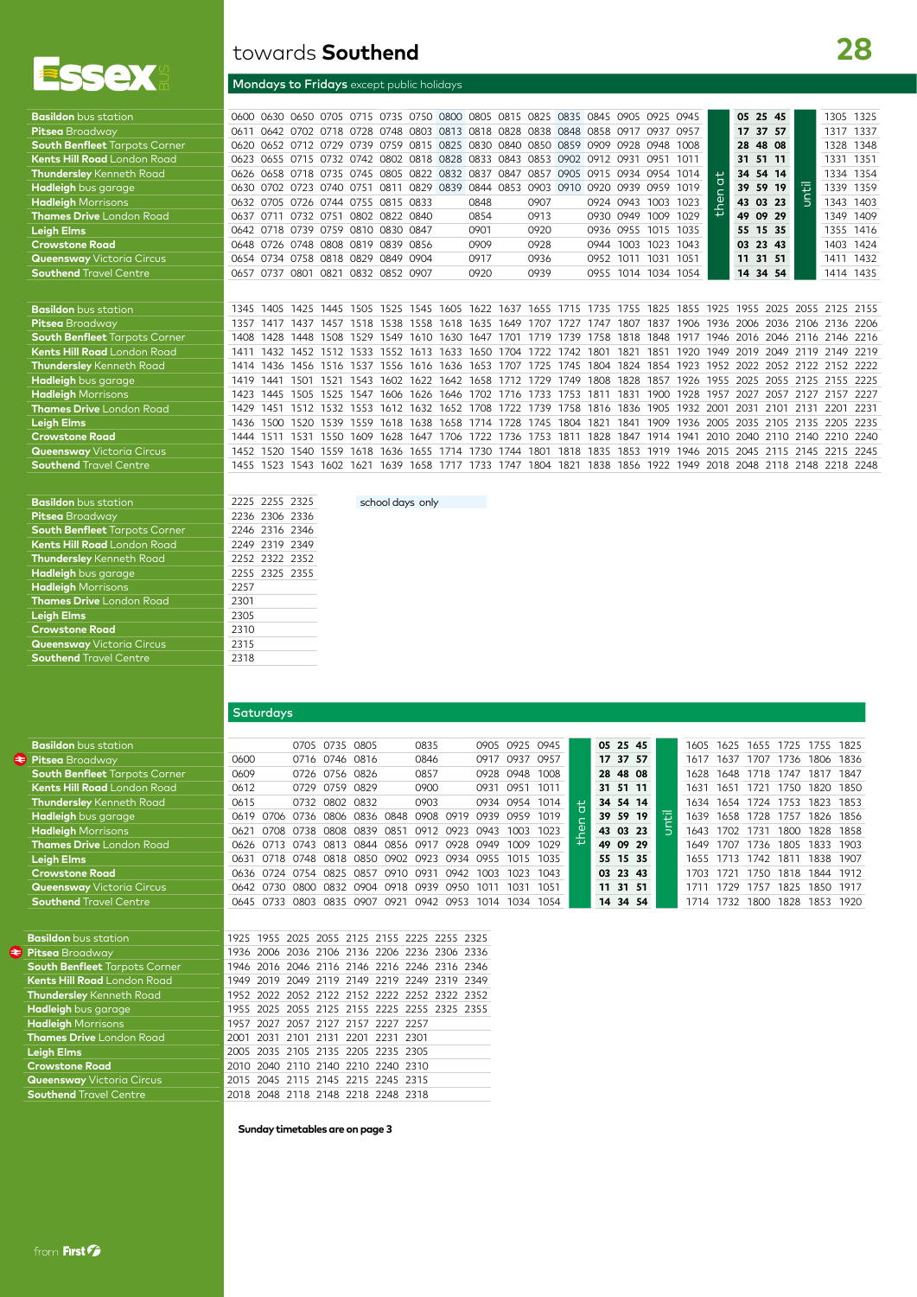

| NV. | towards <b>Southend</b>                   |
|-----|-------------------------------------------|
| 一人  | Mondays to Fridays except public holidays |

| <b>Basildon</b> bus station          | 0600 |      |                                    |           |                |      |           | 0630 0650 0705 0715 0735 0750 0800 0805 0815 0825 0835 0845 0905 |                |      |           |      |           |                          | 0925 | 0945 |                | 05 25 45                 |       |      |                     | 1305 1325 |
|--------------------------------------|------|------|------------------------------------|-----------|----------------|------|-----------|------------------------------------------------------------------|----------------|------|-----------|------|-----------|--------------------------|------|------|----------------|--------------------------|-------|------|---------------------|-----------|
| Pitsea Broadway                      | 0611 | 0642 | O7O2                               |           |                |      |           | 0718 0728 0748 0803 0813 0818 0828 0838 0848 0858 0917           |                |      |           |      |           |                          | 0937 | 0957 |                | 17                       | 37 57 |      |                     | 1317 1337 |
| <b>South Benfleet Tarpots Corner</b> | 0620 |      |                                    |           |                |      |           | 0652 0712 0729 0739 0759 0815 0825 0830 0840 0850 0859 0909      |                |      |           |      |           | 0928 0948                |      | 1008 |                | 28                       | 48 08 |      | 1328                | 1348      |
| <b>Kents Hill Road</b> London Road   | 0623 |      |                                    |           |                |      |           | 0655 0715 0732 0742 0802 0818 0828 0833 0843 0853 0902 0912      |                |      |           |      |           | 0931                     | 0951 | 1011 |                | 31                       | 51 11 |      | 1331                | 1351      |
| Thundersley Kenneth Road             | 0626 |      | 0658 0718 0735 0745                |           |                | 0805 |           | 0822 0832                                                        | 0837           | 0847 | 0857      | 0905 | 0915      | 0934 0954                |      | 1014 | $\overline{a}$ | 34                       | 54 14 |      |                     | 1334 1354 |
| Hadleigh bus garage                  | 0630 | 0702 | 0723 0740 0751                     |           |                | 0811 | 0829 0839 |                                                                  | 0844 0853      |      | 0903 0910 |      | 0920 0939 |                          | 0959 | 1019 |                | 39                       | 59 19 | 屯    | 1339                | 1359      |
| <b>Hadleigh</b> Morrisons            | 0632 |      | 0705 0726 0744 0755 0815 0833      |           |                |      |           |                                                                  | 0848           |      | 0907      |      |           | 0924 0943                | 1003 | 1023 | ۹À             | 43 03 23                 |       |      | 1343 1403           |           |
| <b>Thames Drive</b> London Road      | 0637 |      | 0711 0732 0751                     |           | 0802 0822 0840 |      |           |                                                                  | 0854           |      | 0913      |      |           | 0930 0949                | 1009 | 1029 | $\overline{ }$ | 49 09 29                 |       |      | 1349                | 1409      |
| Leigh Elms                           | 0642 |      | 0718 0739 0759 0810 0830 0847      |           |                |      |           |                                                                  | 0901           |      | 0920      |      |           | 0936 0955 1015           |      | 1035 |                | 55 15 35                 |       |      |                     | 1355 1416 |
| <b>Crowstone Road</b>                | 0648 | 0726 | 0748 0808 0819 0839                |           |                |      | 0856      |                                                                  | 0909           |      | 0928      |      | 0944      | 1003                     | 1023 | 1043 |                | 03                       | 23 43 |      | 1403                | 1424      |
| <b>Queensway</b> Victoria Circus     |      |      | 0654 0734 0758 0818 0829 0849 0904 |           |                |      |           |                                                                  | 0917           |      | 0936      |      | 0952      | 1011                     | 1031 | 1051 |                | 11                       | 31 51 |      | 1411                | 1432      |
| <b>Southend</b> Travel Centre        | 0657 |      | 0737 0801 0821                     |           | 0832 0852 0907 |      |           |                                                                  | 0920           |      | 0939      |      |           | 0955 1014 1034 1054      |      |      |                | 14 34 54                 |       |      |                     | 1414 1435 |
|                                      |      |      |                                    |           |                |      |           |                                                                  |                |      |           |      |           |                          |      |      |                |                          |       |      |                     |           |
| <b>Basildon</b> bus station          | 1345 | 1405 | 1425                               | 1445      | 1505           |      |           | 1525 1545 1605 1622 1637                                         |                |      |           |      |           | 1655 1715 1735 1755 1825 |      | 1855 | 1925           | 1955 2025                |       |      | 2055 2125 2155      |           |
| <b>Pitsea</b> Broadway               | 1357 | 1417 | 1437                               | 1457      | 1518           | 1538 | 1558      | 1618                                                             | 1635 1649      |      | 1707      | 1727 | 1747      | 1807                     | 1837 | 1906 | 1936           | 2006                     |       |      | 2036 2106 2136 2206 |           |
| <b>South Benfleet Tarpots Corner</b> | 1408 | 1428 | 1448                               | 1508      | 1529           | 1549 | 1610      | 1630                                                             | 1647           | 1701 | 1719      | 1739 | 1758      | 1818                     | 1848 | 1917 | 1946           | 2016 2046 2116 2146 2216 |       |      |                     |           |
| Kents Hill Road London Road          | 1411 | 1432 | 1452 1512 1533                     |           |                | 1552 | 1613      | 1633                                                             | 1650 1704      |      | 1722 1742 |      | 1801      | 1821                     | 1851 | 1920 | 1949           | 2019                     | 2049  |      | 2119 2149 2219      |           |
| Thundersley Kenneth Road             | 1414 | 1436 | 1456                               | 1516      | 1537           | 1556 | 1616      | 1636                                                             | 1653 1707      |      | 1725      | 1745 | 1804      | 1824                     | 1854 | 1923 | 1952           | 2022                     | 2052  |      | 2122 2152 2222      |           |
| <b>Hadleigh</b> bus garage           | 1419 | 1441 | 1501                               | 1521      | 1543           | 1602 | 1622      | 1642                                                             | 1658 1712      |      | 1729      | 1749 | 1808      | 1828                     | 1857 | 1926 | 1955           | 2025                     |       |      | 2055 2125 2155 2225 |           |
| <b>Hadleigh</b> Morrisons            | 1423 | 1445 | 1505                               | 1525      | 1547           | 1606 | 1626      | 1646                                                             | 1702           | 1716 | 1733      | 1753 | 1811      | 1831                     | 1900 | 1928 | 1957           | 2027                     | 2057  | 2127 | 2157 2227           |           |
| <b>Thames Drive London Road</b>      | 1429 | 1451 | 1512                               | 1532      | 1553           | 1612 | 1632      | 1652                                                             | 1708           | 1722 | 1739      | 1758 | 1816      | 1836                     | 1905 | 1932 | 2001           | 2031                     | 2101  | 2131 | 2201                | 2231      |
| <b>Leigh Elms</b>                    | 1436 | 1500 | 1520                               | 1539 1559 |                | 1618 | 1638      |                                                                  | 1658 1714 1728 |      | 1745 1804 |      | 1821      | 1841                     | 1909 | 1936 | 2005           | 2035 2105 2135           |       |      | 2205 2235           |           |

**Crowstone Road** 1444 1511 1531 1550 1609 1628 1647 1706 1722 1736 1753 1811 1828 1847 1914 1941 2010 2040 2110 2140 2210 2240<br>**Queensway** Victoria Circus 1452 1520 1540 1559 1618 1636 1655 1714 1730 1744 1801 1818 1835 18 **Southend** Travel Centre 1455 1523 1543 1602 1621 1639 1658 1717 1733 1747 1804 1821 1838 1856 1922 1949 2018 2048 2118 2148 2218 2248 **Basildon** bus station 2225 2255 2325<br>Pitsea Broadway 2236 2306 2336 Pitsea Broadway 2236 2306 2336<br>**South Benfleet** Tarpots Corner 2246 2316 2346 **South Benfleet** Tarpots Corner **Kents Hill Road** London Road 2249 2319 2349<br> **Thundersley** Kenneth Road 2252 2322 2352 **Thundersley** Kenneth Road 2252 2322 2352<br> **Hadleigh** bus garage 2255 2325 2355 **Hadleigh** bus garage **Hadleigh** Morrisons 2257 **Thames Drive** London Road 2301 **Leigh Elms** 2305 **Crowstone Road** 2310

**Queensway** Victoria Circus 2315 **Southend** Travel Centre **2318** 

| school days only |  |
|------------------|--|
|                  |  |

**Queensway** Victoria Circus 1452 1520 1540 1559 1618 1636 1655 1714 1730 1744 1801 1818 1835 1853 1919 1946 2015 2045 2115 2145 2215 2245

#### **Saturdays**

| <b>Basildon</b> bus station.         |      |                     |           | 0705 0735 0805                               |                |      | 0835      |      |                |                | 0905 0925 0945 |                | 05 25 45 |    |      | 1605 1625 1655 1725 |           |      | 1755 1825 |      |
|--------------------------------------|------|---------------------|-----------|----------------------------------------------|----------------|------|-----------|------|----------------|----------------|----------------|----------------|----------|----|------|---------------------|-----------|------|-----------|------|
| Pitsea Broadway                      | 0600 |                     |           | 0716 0746 0816                               |                |      | 0846      |      |                | 0917 0937 0957 |                |                | 17 37 57 |    | 1617 | 1637                | 1707      | 1736 | 1806 1836 |      |
| <b>South Benfleet</b> Tarpots Corner | 0609 |                     |           | 0726 0756 0826                               |                |      | 0857      |      |                | 0928 0948 1008 |                |                | 28 48 08 |    |      | 1628 1648           | 1718 1747 |      | 1817 1847 |      |
| <b>Kents Hill Road</b> London Road   | 0612 |                     |           | 0729 0759 0829                               |                |      | 0900      |      |                | 0931 0951 1011 |                |                | 31 51 11 |    |      | 1631 1651           | 1721 1750 |      | 1820 1850 |      |
| <b>Thundersley</b> Kenneth Road      | 0615 |                     |           | 0732 0802 0832                               |                |      | 0903      |      |                |                | 0934 0954 1014 | $\overline{a}$ | 34 54 14 |    |      | 1634 1654 1724 1753 |           |      | 1823 1853 |      |
| <b>Hadleigh</b> bus garage           |      |                     |           | 0619 0706 0736 0806 0836 0848                |                |      | 0908 0919 |      | 0939 0959 1019 |                |                |                | 39 59 19 | T. |      | 1639 1658 1728 1757 |           |      | 1826 1856 |      |
| <b>Hadleigh</b> Morrisons            | 0621 |                     |           | 0708 0738 0808 0839                          |                | 0851 | 0912 0923 |      | 0943           | 1003 1023      |                | ୁ              | 43 03 23 |    |      | 1643 1702           | 1731      | 1800 | 1828 1858 |      |
| <b>Thames Drive</b> London Road      |      |                     |           | 0626 0713 0743 0813 0844 0856 0917 0928      |                |      |           |      | 0949           |                | 1029           |                | 49 09 29 |    | 1649 | 1707                | 1736      | 1805 | 1833 1903 |      |
| Leigh Elms                           |      |                     |           | 0631 0718 0748 0818 0850 0902 0923 0934 0955 |                |      |           |      |                |                | 1015 1035      |                | 55 15 35 |    |      | 1655 1713           | 1742      | 1811 | 1838 1907 |      |
| <b>Crowstone Road</b>                |      | 0636 0724 0754 0825 |           |                                              | 0857           | 0910 | 0931      | 0942 | 1003           | 1023           | 1043           |                | 03 23 43 |    | 1703 | 1721                | 1750      | 1818 | 1844 1912 |      |
| <b>Queensway</b> Victoria Circus     |      | 0642 0730           | 0800 0832 |                                              | 0904 0918 0939 |      |           | 0950 | 1011           | 1031           | 1051           |                | 11 31 51 |    | 1711 | 1729                | 1757      | 1825 | 1850      | 1917 |
| <b>Southend</b> Travel Centre        |      | 0645 0733           | 0803      | 0835                                         | 0907           | 0921 | 0942 0953 |      | 1014           | 1034           | 1054           |                | 14 34 54 |    | 1714 | 1732                | 1800      | 1828 | 1853      | 1920 |

| <b>Basildon</b> bus station          |
|--------------------------------------|
| <b>Pitsea</b> Broadway               |
| <b>South Benfleet Tarpots Corner</b> |
| <b>Kents Hill Road</b> London Road   |
| <b>Thundersley</b> Kenneth Road      |
| Hadleigh bus garage                  |
| <b>Hadleigh</b> Morrisons            |
| <b>Thames Drive</b> London Road      |
| <b>Leigh Elms</b>                    |
| <b>Crowstone Road</b>                |
| <b>Queensway</b> Victoria Circus     |
| <b>Southend Travel Centre</b>        |

| <b>Basildon</b> bus station          |  |                                    |  | 1925 1955 2025 2055 2125 2155 2225 2255 2325 |  |
|--------------------------------------|--|------------------------------------|--|----------------------------------------------|--|
| Pitsea Broadway                      |  |                                    |  | 1936 2006 2036 2106 2136 2206 2236 2306 2336 |  |
| <b>South Benfleet Tarpots Corner</b> |  |                                    |  | 1946 2016 2046 2116 2146 2216 2246 2316 2346 |  |
| Kents Hill Road London Road          |  |                                    |  | 1949 2019 2049 2119 2149 2219 2249 2319 2349 |  |
| <b>Thundersley</b> Kenneth Road      |  |                                    |  | 1952 2022 2052 2122 2152 2222 2252 2322 2352 |  |
| Hadleigh bus garage                  |  |                                    |  | 1955 2025 2055 2125 2155 2225 2255 2325 2355 |  |
| <b>Hadleigh</b> Morrisons            |  | 1957 2027 2057 2127 2157 2227 2257 |  |                                              |  |
| <b>Thames Drive</b> London Road      |  | 2001 2031 2101 2131 2201 2231 2301 |  |                                              |  |
| Leigh Elms                           |  | 2005 2035 2105 2135 2205 2235 2305 |  |                                              |  |
| <b>Crowstone Road</b>                |  | 2010 2040 2110 2140 2210 2240 2310 |  |                                              |  |
| <b>Queensway</b> Victoria Circus     |  | 2015 2045 2115 2145 2215 2245 2315 |  |                                              |  |
| <b>Southend</b> Travel Centre        |  | 2018 2048 2118 2148 2218 2248 2318 |  |                                              |  |
|                                      |  |                                    |  |                                              |  |

**Sunday timetables are on page 3**